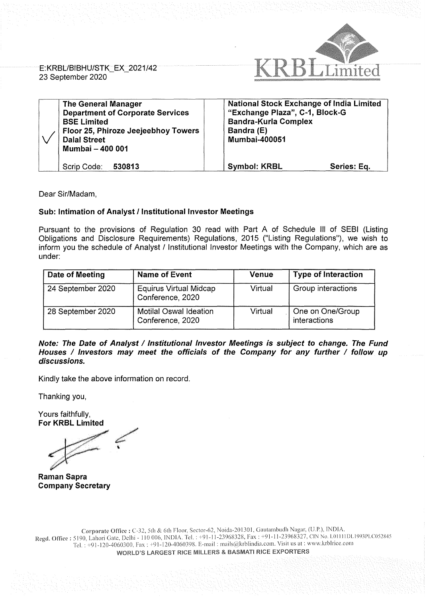

E: KRBL/BIBHU/STK\_EX\_ 2021 /42 23 September 2020

| <b>The General Manager</b><br><b>Department of Corporate Services</b><br><b>BSE Limited</b><br>Floor 25, Phiroze Jeejeebhoy Towers<br><b>Dalal Street</b><br>Mumbai - 400 001 | <b>National Stock Exchange of India Limited</b><br>"Exchange Plaza", C-1, Block-G<br><b>Bandra-Kurla Complex</b><br>Bandra (E)<br><b>Mumbai-400051</b> |
|-------------------------------------------------------------------------------------------------------------------------------------------------------------------------------|--------------------------------------------------------------------------------------------------------------------------------------------------------|
| Scrip Code:<br>530813                                                                                                                                                         | <b>Symbol: KRBL</b><br>Series: Eq.                                                                                                                     |

Dear Sir/Madam,

## **Sub: Intimation of Analyst/ Institutional Investor Meetings**

Pursuant to the provisions of Regulation 30 read with Part A of Schedule Ill of SEBI (Listing Obligations and Disclosure Requirements) Regulations, 2015 ("Listing Regulations"), we wish to inform you the schedule of Analyst / Institutional Investor Meetings with the Company, which are as under:

| Date of Meeting   | <b>Name of Event</b>                              | <b>Venue</b> | <b>Type of Interaction</b>       |
|-------------------|---------------------------------------------------|--------------|----------------------------------|
| 24 September 2020 | <b>Equirus Virtual Midcap</b><br>Conference, 2020 | Virtual      | Group interactions               |
| 28 September 2020 | Motilal Oswal Ideation<br>Conference, 2020        | Virtual      | One on One/Group<br>interactions |

Note: The Date of Analyst / Institutional Investor Meetings is subject to change. The Fund Houses / Investors may meet the officials of the Company for any further / follow up **discussions.** 

Kindly take the above information on record.

Thanking you,

Yours faithfully, **For KRBL Limited** 

Canal.

**Raman Sapra Company Secretary**